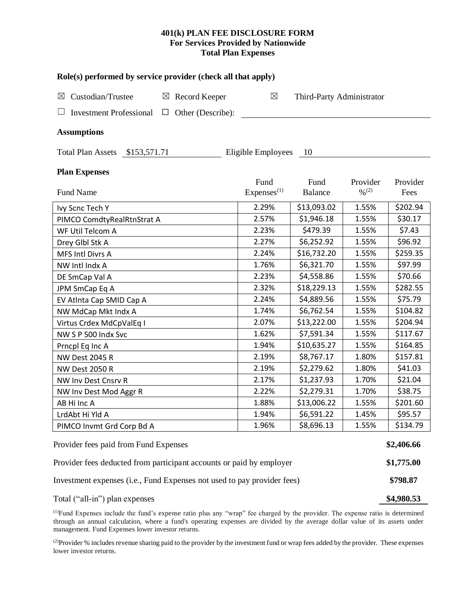# **401(k) PLAN FEE DISCLOSURE FORM For Services Provided by Nationwide Total Plan Expenses**

| Role(s) performed by service provider (check all that apply)            |             |                   |                                |                           |                                          |                  |  |  |  |
|-------------------------------------------------------------------------|-------------|-------------------|--------------------------------|---------------------------|------------------------------------------|------------------|--|--|--|
| Custodian/Trustee<br>$\boxtimes$                                        | $\boxtimes$ | Record Keeper     | $\boxtimes$                    | Third-Party Administrator |                                          |                  |  |  |  |
| <b>Investment Professional</b>                                          | $\Box$      | Other (Describe): |                                |                           |                                          |                  |  |  |  |
| <b>Assumptions</b>                                                      |             |                   |                                |                           |                                          |                  |  |  |  |
| Total Plan Assets \$153,571.71<br>Eligible Employees<br>-10             |             |                   |                                |                           |                                          |                  |  |  |  |
| <b>Plan Expenses</b>                                                    |             |                   |                                |                           |                                          |                  |  |  |  |
| Fund Name                                                               |             |                   | Fund<br>Express <sup>(1)</sup> | Fund<br><b>Balance</b>    | Provider<br>$\frac{0}{2}$ <sup>(2)</sup> | Provider<br>Fees |  |  |  |
| Ivy Scnc Tech Y                                                         |             |                   | 2.29%                          | \$13,093.02               | 1.55%                                    | \$202.94         |  |  |  |
| PIMCO ComdtyRealRtnStrat A                                              |             |                   | 2.57%                          | \$1,946.18                | 1.55%                                    | \$30.17          |  |  |  |
| WF Util Telcom A                                                        | 2.23%       | \$479.39          | 1.55%                          | \$7.43                    |                                          |                  |  |  |  |
| Drey Glbl Stk A                                                         | 2.27%       | \$6,252.92        | 1.55%                          | \$96.92                   |                                          |                  |  |  |  |
| MFS Intl Divrs A                                                        |             |                   | 2.24%                          | \$16,732.20               | 1.55%                                    | \$259.35         |  |  |  |
| NW Intl Indx A                                                          |             |                   | 1.76%                          | \$6,321.70                | 1.55%                                    | \$97.99          |  |  |  |
| DE SmCap Val A                                                          |             |                   | 2.23%                          | \$4,558.86                | 1.55%                                    | \$70.66          |  |  |  |
| JPM SmCap Eq A                                                          |             |                   | 2.32%                          | \$18,229.13               | 1.55%                                    | \$282.55         |  |  |  |
| EV Atlnta Cap SMID Cap A                                                |             |                   | 2.24%                          | \$4,889.56                | 1.55%                                    | \$75.79          |  |  |  |
| NW MdCap Mkt Indx A                                                     |             |                   | 1.74%                          | \$6,762.54                | 1.55%                                    | \$104.82         |  |  |  |
| Virtus Crdex MdCpValEq I                                                | 2.07%       | \$13,222.00       | 1.55%                          | \$204.94                  |                                          |                  |  |  |  |
| NW S P 500 Indx Svc                                                     | 1.62%       | \$7,591.34        | 1.55%                          | \$117.67                  |                                          |                  |  |  |  |
| Prncpl Eq Inc A                                                         | 1.94%       | \$10,635.27       | 1.55%                          | \$164.85                  |                                          |                  |  |  |  |
| <b>NW Dest 2045 R</b>                                                   | 2.19%       | \$8,767.17        | 1.80%                          | \$157.81                  |                                          |                  |  |  |  |
| <b>NW Dest 2050 R</b>                                                   | 2.19%       | \$2,279.62        | 1.80%                          | \$41.03                   |                                          |                  |  |  |  |
| NW Inv Dest Cnsrv R                                                     |             |                   |                                |                           | 1.70%                                    | \$21.04          |  |  |  |
| NW Inv Dest Mod Aggr R                                                  |             |                   | 2.22%                          | \$2,279.31                | 1.70%                                    | \$38.75          |  |  |  |
| AB Hi Inc A                                                             |             |                   | 1.88%                          | \$13,006.22               | 1.55%                                    | \$201.60         |  |  |  |
| LrdAbt Hi Yld A                                                         | 1.94%       | \$6,591.22        | 1.45%                          | \$95.57                   |                                          |                  |  |  |  |
| PIMCO Invmt Grd Corp Bd A                                               |             |                   | 1.96%                          | \$8,696.13                | 1.55%                                    | \$134.79         |  |  |  |
| Provider fees paid from Fund Expenses                                   |             |                   |                                |                           |                                          |                  |  |  |  |
| Provider fees deducted from participant accounts or paid by employer    |             |                   |                                |                           |                                          | \$1,775.00       |  |  |  |
| Investment expenses (i.e., Fund Expenses not used to pay provider fees) |             |                   |                                |                           |                                          | \$798.87         |  |  |  |
| Total ("all-in") plan expenses                                          |             |                   |                                |                           |                                          |                  |  |  |  |

(1)Fund Expenses include the fund's expense ratio plus any "wrap" fee charged by the provider. The expense ratio is determined through an annual calculation, where a fund's operating expenses are divided by the average dollar value of its assets under management. Fund Expenses lower investor returns.

<sup>(2)</sup>Provider % includes revenue sharing paid to the provider by the investment fund or wrap fees added by the provider. These expenses lower investor returns.